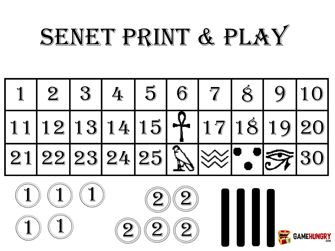